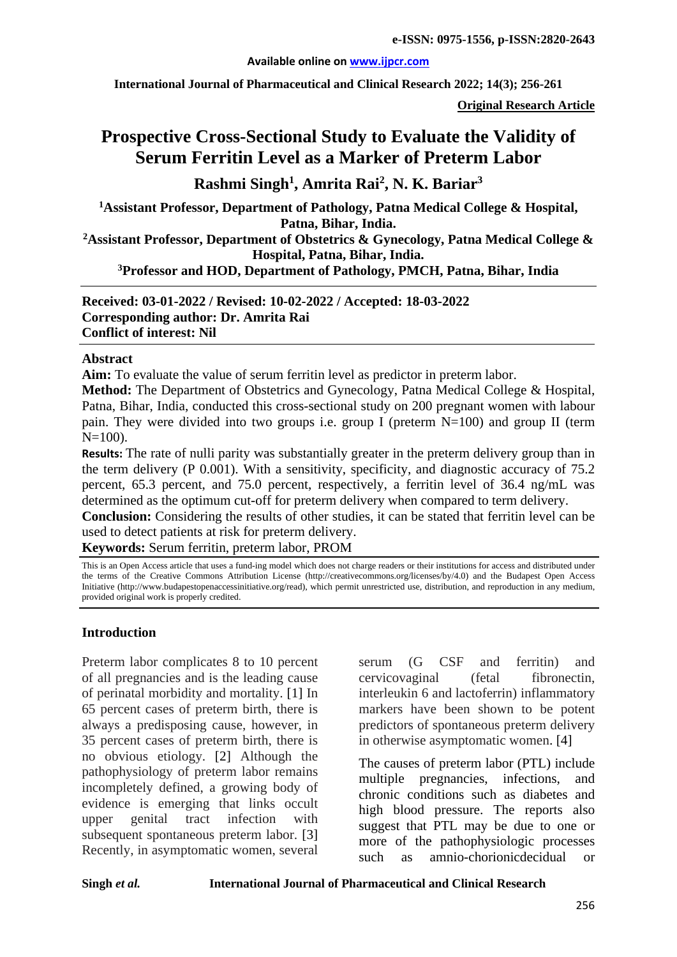#### **Available online on [www.ijpcr.com](http://www.ijpcr.com/)**

**International Journal of Pharmaceutical and Clinical Research 2022; 14(3); 256-261**

**Original Research Article**

# **Prospective Cross-Sectional Study to Evaluate the Validity of Serum Ferritin Level as a Marker of Preterm Labor**

**Rashmi Singh1 , Amrita Rai<sup>2</sup> , N. K. Bariar3**

**1Assistant Professor, Department of Pathology, Patna Medical College & Hospital, Patna, Bihar, India.**

**2Assistant Professor, Department of Obstetrics & Gynecology, Patna Medical College & Hospital, Patna, Bihar, India.**

**3Professor and HOD, Department of Pathology, PMCH, Patna, Bihar, India**

**Received: 03-01-2022 / Revised: 10-02-2022 / Accepted: 18-03-2022 Corresponding author: Dr. Amrita Rai Conflict of interest: Nil**

#### **Abstract**

**Aim:** To evaluate the value of serum ferritin level as predictor in preterm labor.

**Method:** The Department of Obstetrics and Gynecology, Patna Medical College & Hospital, Patna, Bihar, India, conducted this cross-sectional study on 200 pregnant women with labour pain. They were divided into two groups i.e. group I (preterm N=100) and group II (term  $N=100$ ).

**Results:** The rate of nulli parity was substantially greater in the preterm delivery group than in the term delivery (P 0.001). With a sensitivity, specificity, and diagnostic accuracy of 75.2 percent, 65.3 percent, and 75.0 percent, respectively, a ferritin level of 36.4 ng/mL was determined as the optimum cut-off for preterm delivery when compared to term delivery.

**Conclusion:** Considering the results of other studies, it can be stated that ferritin level can be used to detect patients at risk for preterm delivery.

**Keywords:** Serum ferritin, preterm labor, PROM

This is an Open Access article that uses a fund-ing model which does not charge readers or their institutions for access and distributed under the terms of the Creative Commons Attribution License (http://creativecommons.org/licenses/by/4.0) and the Budapest Open Access Initiative (http://www.budapestopenaccessinitiative.org/read), which permit unrestricted use, distribution, and reproduction in any medium, provided original work is properly credited.

# **Introduction**

Preterm labor complicates 8 to 10 percent of all pregnancies and is the leading cause of perinatal morbidity and mortality. [1] In 65 percent cases of preterm birth, there is always a predisposing cause, however, in 35 percent cases of preterm birth, there is no obvious etiology. [2] Although the pathophysiology of preterm labor remains incompletely defined, a growing body of evidence is emerging that links occult upper genital tract infection with subsequent spontaneous preterm labor. [3] Recently, in asymptomatic women, several serum (G CSF and ferritin) and cervicovaginal (fetal fibronectin, interleukin 6 and lactoferrin) inflammatory markers have been shown to be potent predictors of spontaneous preterm delivery in otherwise asymptomatic women. [4]

The causes of preterm labor (PTL) include multiple pregnancies, infections, and chronic conditions such as diabetes and high blood pressure. The reports also suggest that PTL may be due to one or more of the pathophysiologic processes such as amnio-chorionicdecidual or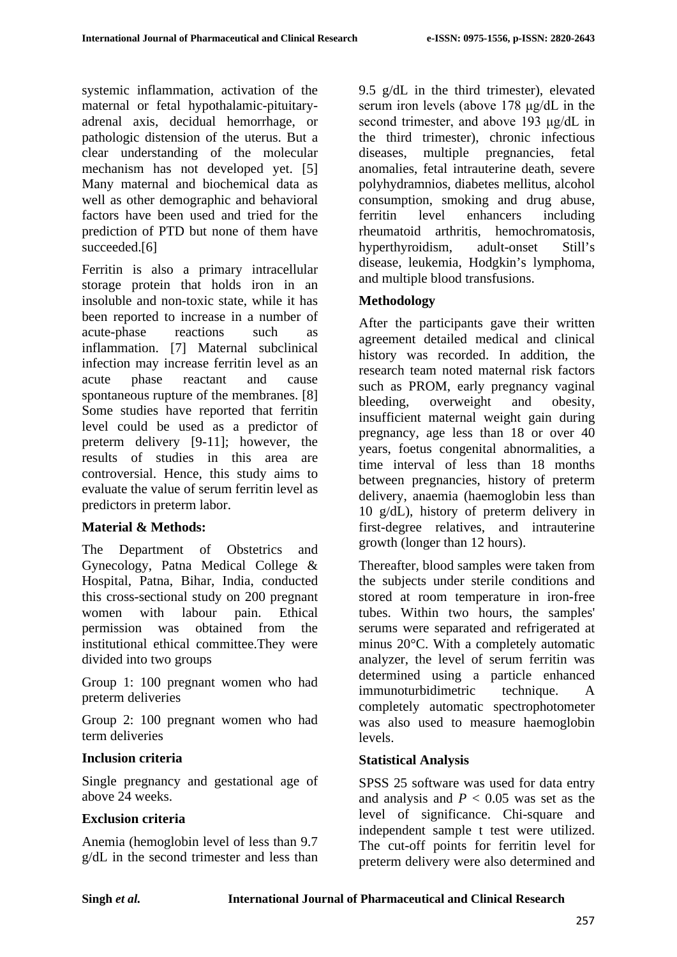systemic inflammation, activation of the maternal or fetal hypothalamic-pituitaryadrenal axis, decidual hemorrhage, or pathologic distension of the uterus. But a clear understanding of the molecular mechanism has not developed yet. [5] Many maternal and biochemical data as well as other demographic and behavioral factors have been used and tried for the prediction of PTD but none of them have succeeded.[6]

Ferritin is also a primary intracellular storage protein that holds iron in an insoluble and non-toxic state, while it has been reported to increase in a number of acute-phase reactions such as inflammation. [7] Maternal subclinical infection may increase ferritin level as an acute phase reactant and cause spontaneous rupture of the membranes. [8] Some studies have reported that ferritin level could be used as a predictor of preterm delivery [9-11]; however, the results of studies in this area are controversial. Hence, this study aims to evaluate the value of serum ferritin level as predictors in preterm labor.

# **Material & Methods:**

The Department of Obstetrics and Gynecology, Patna Medical College & Hospital, Patna, Bihar, India, conducted this cross-sectional study on 200 pregnant women with labour pain. Ethical permission was obtained from the institutional ethical committee.They were divided into two groups

Group 1: 100 pregnant women who had preterm deliveries

Group 2: 100 pregnant women who had term deliveries

# **Inclusion criteria**

Single pregnancy and gestational age of above 24 weeks.

# **Exclusion criteria**

Anemia (hemoglobin level of less than 9.7 g/dL in the second trimester and less than 9.5 g/dL in the third trimester), elevated serum iron levels (above 178 μg/dL in the second trimester, and above 193 μg/dL in the third trimester), chronic infectious diseases, multiple pregnancies, fetal anomalies, fetal intrauterine death, severe polyhydramnios, diabetes mellitus, alcohol consumption, smoking and drug abuse, ferritin level enhancers including rheumatoid arthritis, hemochromatosis, hyperthyroidism, adult-onset Still's disease, leukemia, Hodgkin's lymphoma, and multiple blood transfusions.

# **Methodology**

After the participants gave their written agreement detailed medical and clinical history was recorded. In addition, the research team noted maternal risk factors such as PROM, early pregnancy vaginal bleeding, overweight and obesity, insufficient maternal weight gain during pregnancy, age less than 18 or over 40 years, foetus congenital abnormalities, a time interval of less than 18 months between pregnancies, history of preterm delivery, anaemia (haemoglobin less than 10 g/dL), history of preterm delivery in first-degree relatives, and intrauterine growth (longer than 12 hours).

Thereafter, blood samples were taken from the subjects under sterile conditions and stored at room temperature in iron-free tubes. Within two hours, the samples' serums were separated and refrigerated at minus 20°C. With a completely automatic analyzer, the level of serum ferritin was determined using a particle enhanced immunoturbidimetric technique. A completely automatic spectrophotometer was also used to measure haemoglobin levels.

# **Statistical Analysis**

SPSS 25 software was used for data entry and analysis and  $P < 0.05$  was set as the level of significance. Chi-square and independent sample t test were utilized. The cut-off points for ferritin level for preterm delivery were also determined and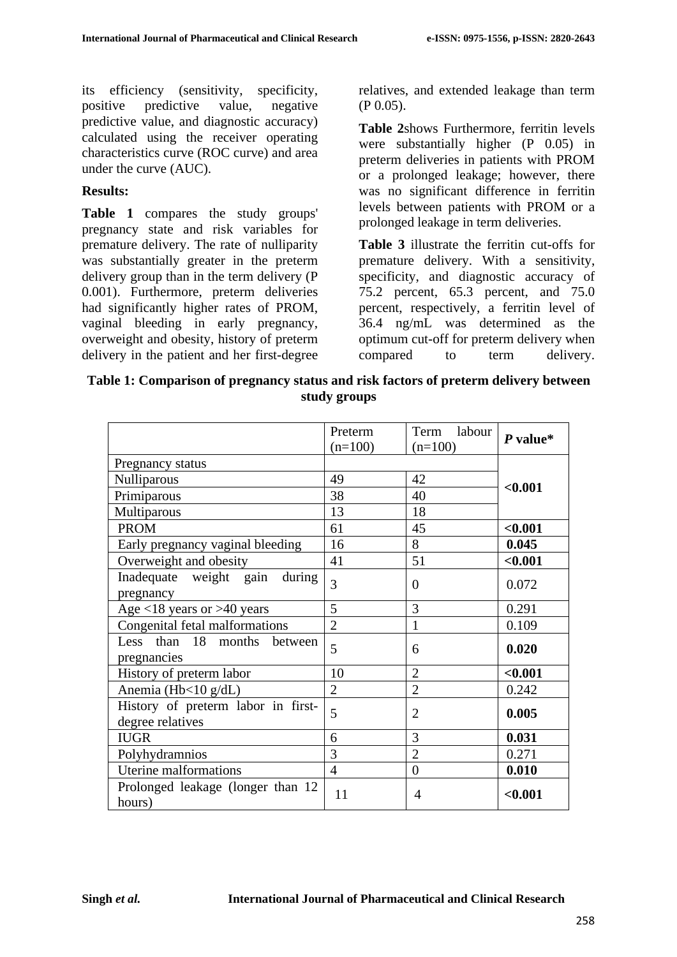its efficiency (sensitivity, specificity, positive predictive value, negative predictive value, and diagnostic accuracy) calculated using the receiver operating characteristics curve (ROC curve) and area under the curve (AUC).

# **Results:**

**Table 1** compares the study groups' pregnancy state and risk variables for premature delivery. The rate of nulliparity was substantially greater in the preterm delivery group than in the term delivery (P 0.001). Furthermore, preterm deliveries had significantly higher rates of PROM, vaginal bleeding in early pregnancy, overweight and obesity, history of preterm delivery in the patient and her first-degree relatives, and extended leakage than term (P 0.05).

**Table 2**shows Furthermore, ferritin levels were substantially higher (P 0.05) in preterm deliveries in patients with PROM or a prolonged leakage; however, there was no significant difference in ferritin levels between patients with PROM or a prolonged leakage in term deliveries.

**Table 3** illustrate the ferritin cut-offs for premature delivery. With a sensitivity, specificity, and diagnostic accuracy of 75.2 percent, 65.3 percent, and 75.0 percent, respectively, a ferritin level of 36.4 ng/mL was determined as the optimum cut-off for preterm delivery when compared to term delivery.

| Table 1: Comparison of pregnancy status and risk factors of preterm delivery between |  |
|--------------------------------------------------------------------------------------|--|
| study groups                                                                         |  |

|                                                        | Preterm<br>$(n=100)$ | Term<br>labour<br>$(n=100)$ | $P$ value* |
|--------------------------------------------------------|----------------------|-----------------------------|------------|
| Pregnancy status                                       |                      |                             |            |
| Nulliparous                                            | 49                   | 42                          |            |
| Primiparous                                            | 38                   | 40                          | < 0.001    |
| Multiparous                                            | 13                   | 18                          |            |
| <b>PROM</b>                                            | 61                   | 45                          | < 0.001    |
| Early pregnancy vaginal bleeding                       | 16                   | 8                           | 0.045      |
| Overweight and obesity                                 | 41                   | 51                          | < 0.001    |
| Inadequate weight gain<br>during<br>pregnancy          | 3                    | $\overline{0}$              | 0.072      |
| Age $<$ 18 years or >40 years                          | 5                    | 3                           | 0.291      |
| Congenital fetal malformations                         | $\overline{2}$       | 1                           | 0.109      |
| Less than 18<br>months<br>between<br>pregnancies       | 5                    | 6                           | 0.020      |
| History of preterm labor                               | 10                   | $\overline{2}$              | < 0.001    |
| Anemia (Hb<10 g/dL)                                    | $\overline{2}$       | $\overline{2}$              | 0.242      |
| History of preterm labor in first-<br>degree relatives | 5                    | $\overline{2}$              | 0.005      |
| <b>IUGR</b>                                            | 6                    | 3                           | 0.031      |
| Polyhydramnios                                         | 3                    | $\overline{2}$              | 0.271      |
| Uterine malformations                                  | $\overline{4}$       | $\overline{0}$              | 0.010      |
| Prolonged leakage (longer than 12<br>hours)            | 11                   | 4                           | < 0.001    |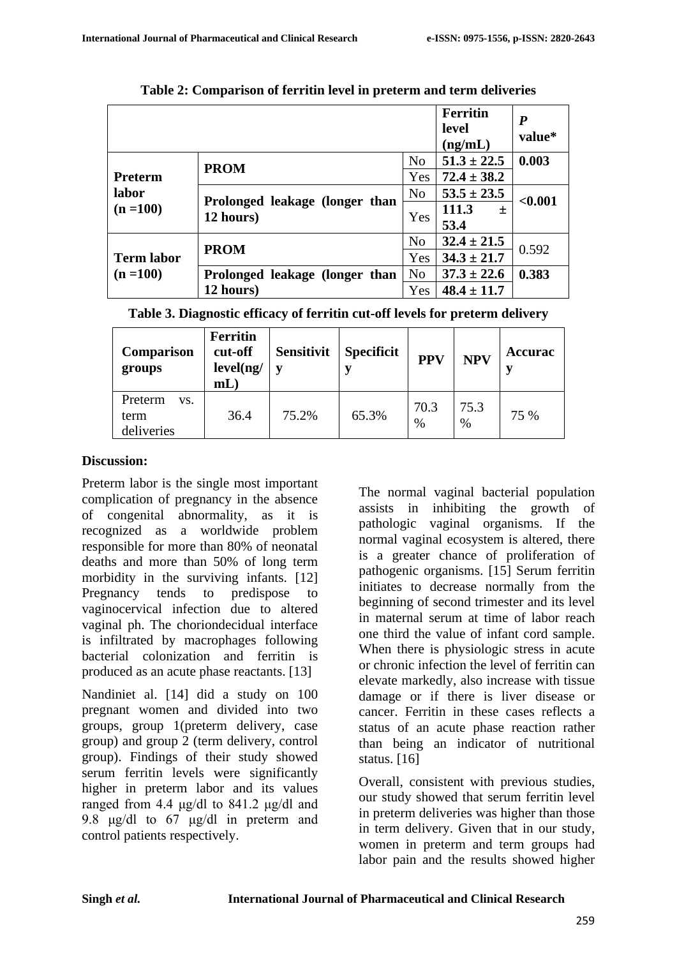|                                  |                                             |                | <b>Ferritin</b><br>level<br>(ng/mL) | $\boldsymbol{P}$<br>value* |  |
|----------------------------------|---------------------------------------------|----------------|-------------------------------------|----------------------------|--|
|                                  | <b>PROM</b>                                 | N <sub>o</sub> | $51.3 \pm 22.5$                     | 0.003                      |  |
| <b>Preterm</b>                   |                                             | Yes            | $72.4 \pm 38.2$                     |                            |  |
| labor<br>$(n = 100)$             | Prolonged leakage (longer than<br>12 hours) | N <sub>0</sub> | $53.5 \pm 23.5$                     | < 0.001                    |  |
|                                  |                                             | Yes            | 111.3<br>士                          |                            |  |
|                                  |                                             |                | 53.4                                |                            |  |
| <b>Term labor</b><br>$(n = 100)$ | <b>PROM</b>                                 | N <sub>o</sub> | $32.4 \pm 21.5$                     | 0.592                      |  |
|                                  |                                             | Yes            | $34.3 \pm 21.7$                     |                            |  |
|                                  | Prolonged leakage (longer than              | N <sub>o</sub> | $37.3 \pm 22.6$                     | 0.383                      |  |
|                                  | 12 hours)                                   | Yes            | $48.4 \pm 11.7$                     |                            |  |

**Table 2: Comparison of ferritin level in preterm and term deliveries**

| Table 3. Diagnostic efficacy of ferritin cut-off levels for preterm delivery |  |  |  |  |  |  |  |  |  |  |  |
|------------------------------------------------------------------------------|--|--|--|--|--|--|--|--|--|--|--|
|------------------------------------------------------------------------------|--|--|--|--|--|--|--|--|--|--|--|

| <b>Comparison</b><br>groups          | <b>Ferritin</b><br>cut-off<br>level(ng/<br>$mL$ ) | <b>Sensitivit</b> | <b>Specificit</b> | <b>PPV</b>   | <b>NPV</b>   | <b>Accurac</b> |
|--------------------------------------|---------------------------------------------------|-------------------|-------------------|--------------|--------------|----------------|
| Preterm<br>VS.<br>term<br>deliveries | 36.4                                              | 75.2%             | 65.3%             | 70.3<br>$\%$ | 75.3<br>$\%$ | 75 %           |

### **Discussion:**

Preterm labor is the single most important complication of pregnancy in the absence of congenital abnormality, as it is recognized as a worldwide problem responsible for more than 80% of neonatal deaths and more than 50% of long term morbidity in the surviving infants. [12] Pregnancy tends to predispose to vaginocervical infection due to altered vaginal ph. The choriondecidual interface is infiltrated by macrophages following bacterial colonization and ferritin is produced as an acute phase reactants. [13]

Nandiniet al. [14] did a study on 100 pregnant women and divided into two groups, group 1(preterm delivery, case group) and group 2 (term delivery, control group). Findings of their study showed serum ferritin levels were significantly higher in preterm labor and its values ranged from 4.4 μg/dl to 841.2 μg/dl and 9.8 μg/dl to 67 μg/dl in preterm and control patients respectively.

The normal vaginal bacterial population assists in inhibiting the growth of pathologic vaginal organisms. If the normal vaginal ecosystem is altered, there is a greater chance of proliferation of pathogenic organisms. [15] Serum ferritin initiates to decrease normally from the beginning of second trimester and its level in maternal serum at time of labor reach one third the value of infant cord sample. When there is physiologic stress in acute or chronic infection the level of ferritin can elevate markedly, also increase with tissue damage or if there is liver disease or cancer. Ferritin in these cases reflects a status of an acute phase reaction rather than being an indicator of nutritional status. [16]

Overall, consistent with previous studies, our study showed that serum ferritin level in preterm deliveries was higher than those in term delivery. Given that in our study, women in preterm and term groups had labor pain and the results showed higher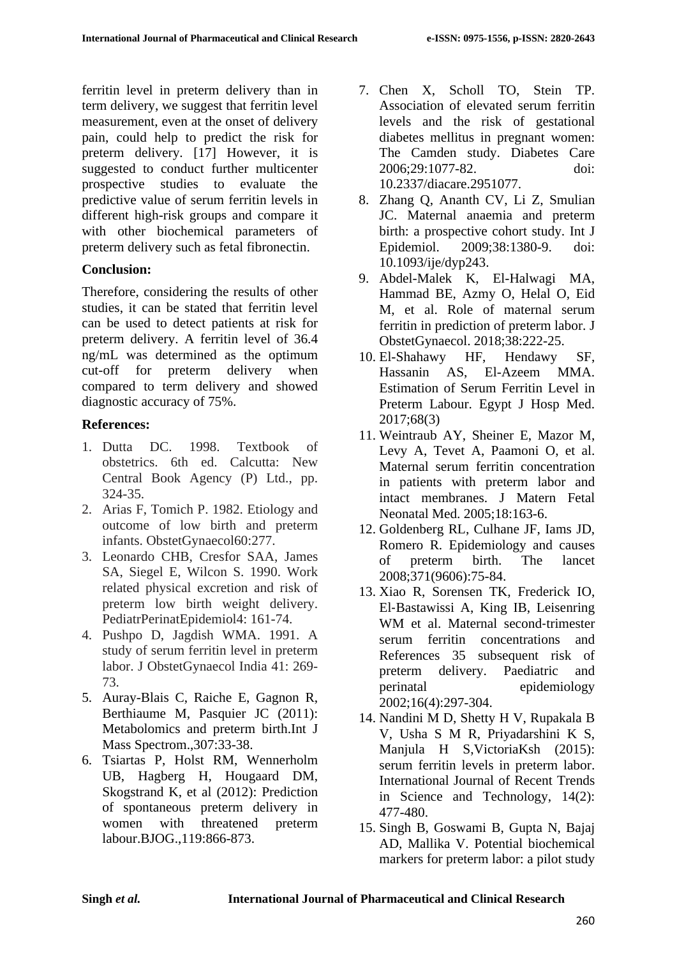ferritin level in preterm delivery than in term delivery, we suggest that ferritin level measurement, even at the onset of delivery pain, could help to predict the risk for preterm delivery. [17] However, it is suggested to conduct further multicenter prospective studies to evaluate the predictive value of serum ferritin levels in different high-risk groups and compare it with other biochemical parameters of preterm delivery such as fetal fibronectin.

# **Conclusion:**

Therefore, considering the results of other studies, it can be stated that ferritin level can be used to detect patients at risk for preterm delivery. A ferritin level of 36.4 ng/mL was determined as the optimum cut-off for preterm delivery when compared to term delivery and showed diagnostic accuracy of 75%.

# **References:**

- 1. Dutta DC. 1998. Textbook of obstetrics. 6th ed. Calcutta: New Central Book Agency (P) Ltd., pp. 324-35.
- 2. Arias F, Tomich P. 1982. Etiology and outcome of low birth and preterm infants. ObstetGynaecol60:277.
- 3. Leonardo CHB, Cresfor SAA, James SA, Siegel E, Wilcon S. 1990. Work related physical excretion and risk of preterm low birth weight delivery. PediatrPerinatEpidemiol4: 161-74.
- 4. Pushpo D, Jagdish WMA. 1991. A study of serum ferritin level in preterm labor. J ObstetGynaecol India 41: 269- 73.
- 5. Auray-Blais C, Raiche E, Gagnon R, Berthiaume M, Pasquier JC (2011): Metabolomics and preterm birth.Int J Mass Spectrom.,307:33-38.
- 6. Tsiartas P, Holst RM, Wennerholm UB, Hagberg H, Hougaard DM, Skogstrand K, et al (2012): Prediction of spontaneous preterm delivery in women with threatened preterm labour.BJOG.,119:866-873.
- 7. Chen X, Scholl TO, Stein TP. Association of elevated serum ferritin levels and the risk of gestational diabetes mellitus in pregnant women: The Camden study. Diabetes Care 2006;29:1077-82. doi: 10.2337/diacare.2951077.
- 8. Zhang Q, Ananth CV, Li Z, Smulian JC. Maternal anaemia and preterm birth: a prospective cohort study. Int J Epidemiol. 2009;38:1380-9. doi: 10.1093/ije/dyp243.
- 9. Abdel-Malek K, El-Halwagi MA, Hammad BE, Azmy O, Helal O, Eid M, et al. Role of maternal serum ferritin in prediction of preterm labor. J ObstetGynaecol. 2018;38:222-25.
- 10. El-Shahawy HF, Hendawy SF, Hassanin AS, El-Azeem MMA. Estimation of Serum Ferritin Level in Preterm Labour. Egypt J Hosp Med. 2017;68(3)
- 11. Weintraub AY, Sheiner E, Mazor M, Levy A, Tevet A, Paamoni O, et al. Maternal serum ferritin concentration in patients with preterm labor and intact membranes. J Matern Fetal Neonatal Med. 2005;18:163-6.
- 12. Goldenberg RL, Culhane JF, Iams JD, Romero R. Epidemiology and causes of preterm birth. The lancet 2008;371(9606):75-84.
- 13. Xiao R, Sorensen TK, Frederick IO, El‐Bastawissi A, King IB, Leisenring WM et al. Maternal second-trimester<br>serum ferritin concentrations and concentrations References 35 subsequent risk of preterm delivery. Paediatric and perinatal epidemiology 2002;16(4):297-304.
- 14. Nandini M D, Shetty H V, Rupakala B V, Usha S M R, Priyadarshini K S, Manjula H S,VictoriaKsh (2015): serum ferritin levels in preterm labor. International Journal of Recent Trends in Science and Technology, 14(2): 477-480.
- 15. Singh B, Goswami B, Gupta N, Bajaj AD, Mallika V. Potential biochemical markers for preterm labor: a pilot study